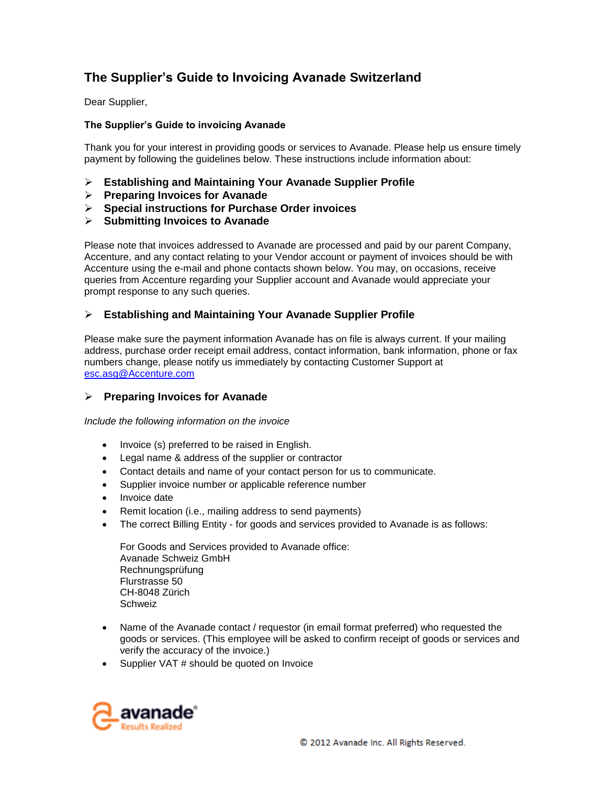# **The Supplier's Guide to Invoicing Avanade Switzerland**

Dear Supplier,

## **The Supplier's Guide to invoicing Avanade**

Thank you for your interest in providing goods or services to Avanade. Please help us ensure timely payment by following the guidelines below. These instructions include information about:

- **Establishing and Maintaining Your Avanade Supplier Profile**
- **Preparing Invoices for Avanade**
- **Special instructions for Purchase Order invoices**
- **Submitting Invoices to Avanade**

Please note that invoices addressed to Avanade are processed and paid by our parent Company, Accenture, and any contact relating to your Vendor account or payment of invoices should be with Accenture using the e-mail and phone contacts shown below. You may, on occasions, receive queries from Accenture regarding your Supplier account and Avanade would appreciate your prompt response to any such queries.

# **Establishing and Maintaining Your Avanade Supplier Profile**

Please make sure the payment information Avanade has on file is always current. If your mailing address, purchase order receipt email address, contact information, bank information, phone or fax numbers change, please notify us immediately by contacting Customer Support at [esc.asg@Accenture.com](mailto:esc.asg@Accenture.com)

# **Preparing Invoices for Avanade**

*Include the following information on the invoice*

- Invoice (s) preferred to be raised in English.
- Legal name & address of the supplier or contractor
- Contact details and name of your contact person for us to communicate.
- Supplier invoice number or applicable reference number
- Invoice date
- Remit location (i.e., mailing address to send payments)
- The correct Billing Entity for goods and services provided to Avanade is as follows:

For Goods and Services provided to Avanade office: Avanade Schweiz GmbH Rechnungsprüfung Flurstrasse 50 CH-8048 Zürich Schweiz

- Name of the Avanade contact / requestor (in email format preferred) who requested the goods or services. (This employee will be asked to confirm receipt of goods or services and verify the accuracy of the invoice.)
- Supplier VAT # should be quoted on Invoice

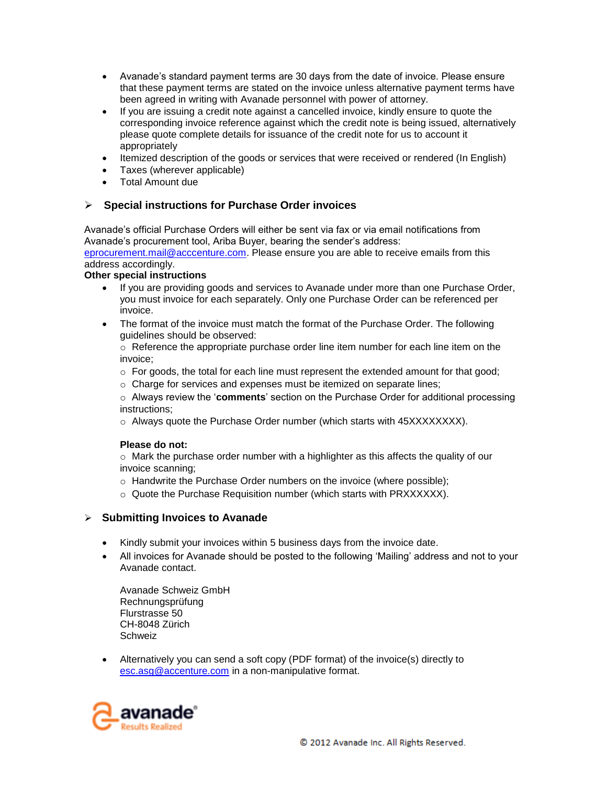- Avanade's standard payment terms are 30 days from the date of invoice. Please ensure that these payment terms are stated on the invoice unless alternative payment terms have been agreed in writing with Avanade personnel with power of attorney.
- If you are issuing a credit note against a cancelled invoice, kindly ensure to quote the corresponding invoice reference against which the credit note is being issued, alternatively please quote complete details for issuance of the credit note for us to account it appropriately
- Itemized description of the goods or services that were received or rendered (In English)
- Taxes (wherever applicable)
- Total Amount due

# **Special instructions for Purchase Order invoices**

Avanade's official Purchase Orders will either be sent via fax or via email notifications from Avanade's procurement tool, Ariba Buyer, bearing the sender's address: [eprocurement.mail@acccenture.com.](mailto:eprocurement.mail@acccenture.com) Please ensure you are able to receive emails from this

address accordingly. **Other special instructions** 

- If you are providing goods and services to Avanade under more than one Purchase Order, you must invoice for each separately. Only one Purchase Order can be referenced per invoice.
- The format of the invoice must match the format of the Purchase Order. The following guidelines should be observed:

 $\circ$  Reference the appropriate purchase order line item number for each line item on the invoice;

- $\circ$  For goods, the total for each line must represent the extended amount for that good;
- $\circ$  Charge for services and expenses must be itemized on separate lines;

o Always review the '**comments**' section on the Purchase Order for additional processing instructions;

 $\circ$  Always quote the Purchase Order number (which starts with 45XXXXXXXX).

#### **Please do not:**

 $\circ$  Mark the purchase order number with a highlighter as this affects the quality of our invoice scanning;

- o Handwrite the Purchase Order numbers on the invoice (where possible);
- o Quote the Purchase Requisition number (which starts with PRXXXXXX).

# **Submitting Invoices to Avanade**

- Kindly submit your invoices within 5 business days from the invoice date.
- All invoices for Avanade should be posted to the following 'Mailing' address and not to your Avanade contact.

Avanade Schweiz GmbH Rechnungsprüfung Flurstrasse 50 CH-8048 Zürich Schweiz

 Alternatively you can send a soft copy (PDF format) of the invoice(s) directly to [esc.asg@accenture.com](mailto:esc.asg@accenture.com) in a non-manipulative format.